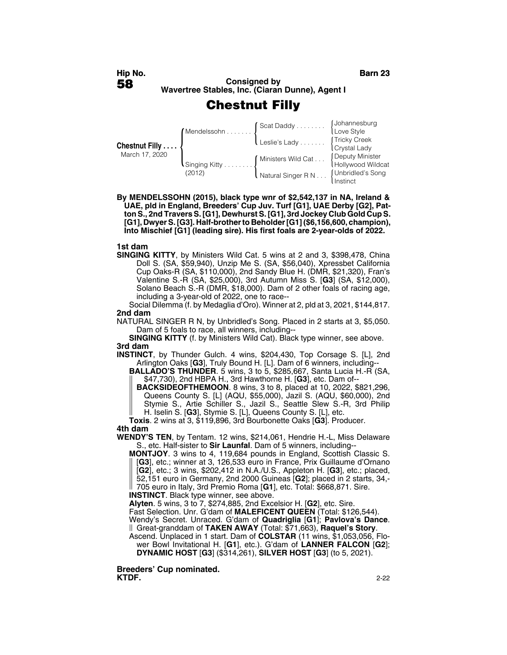## **Chestnut Filly**

| Chestnut Filly<br>March 17, 2020 | Mendelssohn<br>$\mathsf{I}$ Singing Kitty<br>(2012) | Scat Daddy [Johannesburg]<br>Love Style          |                                      |
|----------------------------------|-----------------------------------------------------|--------------------------------------------------|--------------------------------------|
|                                  |                                                     | Leslie's Lady                                    | Tricky Creek<br>Crystal Lady         |
|                                  |                                                     | [Ministers Wild Cat                              | Deputy Minister<br>Hollywood Wildcat |
|                                  |                                                     | Natural Singer R N (Unbridled's Song<br>Instinct |                                      |

**By MENDELSSOHN (2015), black type wnr of \$2,542,137 in NA, Ireland & UAE, pld in England, Breeders' Cup Juv. Turf [G1], UAE Derby [G2], Patton S., 2nd Travers S. [G1], Dewhurst S. [G1], 3rd Jockey Club Gold Cup S. [G1], Dwyer S. [G3]. Half-brother to Beholder [G1] (\$6,156,600, champion), Into Mischief [G1] (leading sire). His first foals are 2-year-olds of 2022.**

### **1st dam**

**SINGING KITTY**, by Ministers Wild Cat. 5 wins at 2 and 3, \$398,478, China Doll S. (SA, \$59,940), Unzip Me S. (SA, \$56,040), Xpressbet California Cup Oaks-R (SA, \$110,000), 2nd Sandy Blue H. (DMR, \$21,320), Fran's Valentine S.-R (SA, \$25,000), 3rd Autumn Miss S. [**G3**] (SA, \$12,000), Solano Beach S.-R (DMR, \$18,000). Dam of 2 other foals of racing age, including a 3-year-old of 2022, one to race--

Social Dilemma (f. by Medaglia d'Oro). Winner at 2, pld at 3, 2021, \$144,817. **2nd dam**

NATURAL SINGER R N, by Unbridled's Song. Placed in 2 starts at 3, \$5,050. Dam of 5 foals to race, all winners, including--

**SINGING KITTY** (f. by Ministers Wild Cat). Black type winner, see above. **3rd dam**

**INSTINCT**, by Thunder Gulch. 4 wins, \$204,430, Top Corsage S. [L], 2nd Arlington Oaks [**G3**], Truly Bound H. [L]. Dam of 6 winners, including--

**BALLADO'S THUNDER**. 5 wins, 3 to 5, \$285,667, Santa Lucia H.-R (SA, \$47,730), 2nd HBPA H., 3rd Hawthorne H. [**G3**], etc. Dam of--

**BACKSIDEOFTHEMOON**. 8 wins, 3 to 8, placed at 10, 2022, \$821,296, Queens County S. [L] (AQU, \$55,000), Jazil S. (AQU, \$60,000), 2nd Stymie S., Artie Schiller S., Jazil S., Seattle Slew S.-R, 3rd Philip H. Iselin S. [**G3**], Stymie S. [L], Queens County S. [L], etc.

**Toxis**. 2 wins at 3, \$119,896, 3rd Bourbonette Oaks [**G3**]. Producer. **4th dam**

**WENDY'S TEN**, by Tentam. 12 wins, \$214,061, Hendrie H.-L, Miss Delaware S., etc. Half-sister to **Sir Launfal**. Dam of 5 winners, including--

**MONTJOY**. 3 wins to 4, 119,684 pounds in England, Scottish Classic S. [**G3**], etc.; winner at 3, 126,533 euro in France, Prix Guillaume d'Ornano [**G2**], etc.; 3 wins, \$202,412 in N.A./U.S., Appleton H. [**G3**], etc.; placed, 52,151 euro in Germany, 2nd 2000 Guineas [**G2**]; placed in 2 starts, 34,- 705 euro in Italy, 3rd Premio Roma [**G1**], etc. Total: \$668,871. Sire. **INSTINCT**. Black type winner, see above.

**Alyten**. 5 wins, 3 to 7, \$274,885, 2nd Excelsior H. [**G2**], etc. Sire.

Fast Selection. Unr. G'dam of **MALEFICENT QUEEN** (Total: \$126,544).

Wendy's Secret. Unraced. G'dam of **Quadriglia** [**G1**]; **Pavlova's Dance**. Great-granddam of **TAKEN AWAY** (Total: \$71,663), **Raquel's Story**.

Ascend. Unplaced in 1 start. Dam of **COLSTAR** (11 wins, \$1,053,056, Flower Bowl Invitational H. [**G1**], etc.). G'dam of **LANNER FALCON** [**G2**]; **DYNAMIC HOST** [**G3**] (\$314,261), **SILVER HOST** [**G3**] (to 5, 2021).

**Breeders' Cup nominated. KTDF.** 2-22